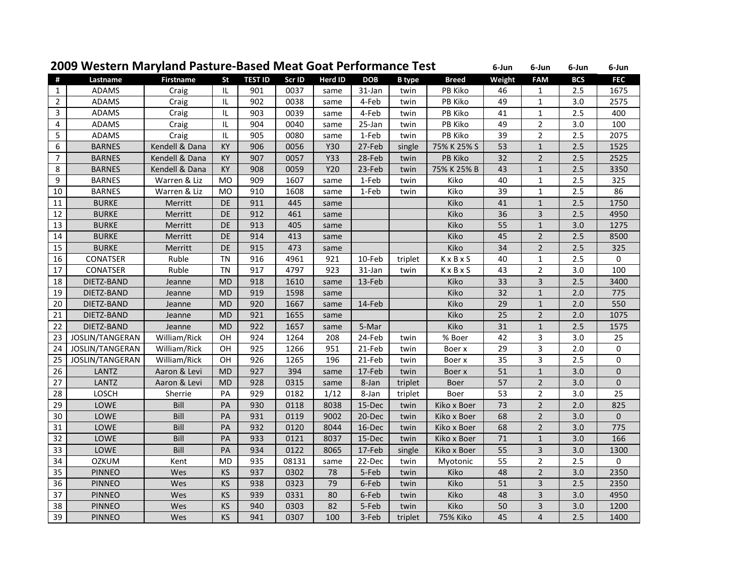## **Western Maryland Pasture‐Based Meat Goat Performance Test <sup>6</sup>‐Jun <sup>6</sup>‐Jun <sup>6</sup>‐Jun <sup>6</sup>‐Jun**

| $\#$           | Lastname        | <b>Firstname</b> | <b>St</b> | <b>TEST ID</b> | Scr ID | <b>Herd ID</b> | <b>DOB</b> | <b>B</b> type | <b>Breed</b>    | Weight | <b>FAM</b>              | <b>BCS</b> | <b>FEC</b>     |
|----------------|-----------------|------------------|-----------|----------------|--------|----------------|------------|---------------|-----------------|--------|-------------------------|------------|----------------|
| $\mathbf{1}$   | <b>ADAMS</b>    | Craig            | IL        | 901            | 0037   | same           | 31-Jan     | twin          | PB Kiko         | 46     | 1                       | 2.5        | 1675           |
| $\overline{2}$ | ADAMS           | Craig            | IL        | 902            | 0038   | same           | 4-Feb      | twin          | PB Kiko         | 49     | $\mathbf{1}$            | 3.0        | 2575           |
| 3              | ADAMS           | Craig            | IL        | 903            | 0039   | same           | 4-Feb      | twin          | PB Kiko         | 41     | $\mathbf{1}$            | 2.5        | 400            |
| 4              | <b>ADAMS</b>    | Craig            | IL        | 904            | 0040   | same           | 25-Jan     | twin          | PB Kiko         | 49     | $\overline{2}$          | 3.0        | 100            |
| 5              | <b>ADAMS</b>    | Craig            | IL        | 905            | 0080   | same           | 1-Feb      | twin          | PB Kiko         | 39     | $\overline{2}$          | 2.5        | 2075           |
| 6              | <b>BARNES</b>   | Kendell & Dana   | KY        | 906            | 0056   | Y30            | 27-Feb     | single        | 75% K 25% S     | 53     | $\mathbf{1}$            | 2.5        | 1525           |
| $\overline{7}$ | <b>BARNES</b>   | Kendell & Dana   | KY        | 907            | 0057   | <b>Y33</b>     | 28-Feb     | twin          | PB Kiko         | 32     | $\overline{2}$          | 2.5        | 2525           |
| 8              | <b>BARNES</b>   | Kendell & Dana   | KY        | 908            | 0059   | Y20            | 23-Feb     | twin          | 75% K 25% B     | 43     | $\mathbf{1}$            | 2.5        | 3350           |
| 9              | <b>BARNES</b>   | Warren & Liz     | MO        | 909            | 1607   | same           | 1-Feb      | twin          | Kiko            | 40     | $\mathbf{1}$            | 2.5        | 325            |
| 10             | <b>BARNES</b>   | Warren & Liz     | <b>MO</b> | 910            | 1608   | same           | 1-Feb      | twin          | Kiko            | 39     | $\mathbf{1}$            | 2.5        | 86             |
| 11             | <b>BURKE</b>    | Merritt          | DE        | 911            | 445    | same           |            |               | Kiko            | 41     | $\mathbf 1$             | 2.5        | 1750           |
| 12             | <b>BURKE</b>    | Merritt          | DE        | 912            | 461    | same           |            |               | Kiko            | 36     | $\overline{\mathbf{3}}$ | 2.5        | 4950           |
| 13             | <b>BURKE</b>    | Merritt          | DE        | 913            | 405    | same           |            |               | Kiko            | 55     | $\mathbf{1}$            | 3.0        | 1275           |
| 14             | <b>BURKE</b>    | Merritt          | DE        | 914            | 413    | same           |            |               | Kiko            | 45     | $\overline{2}$          | 2.5        | 8500           |
| 15             | <b>BURKE</b>    | Merritt          | DE        | 915            | 473    | same           |            |               | Kiko            | 34     | $\overline{2}$          | 2.5        | 325            |
| 16             | <b>CONATSER</b> | Ruble            | TN        | 916            | 4961   | 921            | 10-Feb     | triplet       | KxBxS           | 40     | $\mathbf{1}$            | 2.5        | 0              |
| 17             | CONATSER        | Ruble            | <b>TN</b> | 917            | 4797   | 923            | 31-Jan     | twin          | KxBxS           | 43     | $\overline{2}$          | 3.0        | 100            |
| 18             | DIETZ-BAND      | Jeanne           | <b>MD</b> | 918            | 1610   | same           | 13-Feb     |               | Kiko            | 33     | 3                       | 2.5        | 3400           |
| 19             | DIETZ-BAND      | Jeanne           | <b>MD</b> | 919            | 1598   | same           |            |               | Kiko            | 32     | $\mathbf{1}$            | 2.0        | 775            |
| 20             | DIETZ-BAND      | Jeanne           | <b>MD</b> | 920            | 1667   | same           | 14-Feb     |               | Kiko            | 29     | $\mathbf 1$             | 2.0        | 550            |
| 21             | DIETZ-BAND      | Jeanne           | <b>MD</b> | 921            | 1655   | same           |            |               | Kiko            | 25     | $\overline{2}$          | 2.0        | 1075           |
| 22             | DIETZ-BAND      | Jeanne           | <b>MD</b> | 922            | 1657   | same           | 5-Mar      |               | Kiko            | 31     | $\mathbf{1}$            | 2.5        | 1575           |
| 23             | JOSLIN/TANGERAN | William/Rick     | OН        | 924            | 1264   | 208            | 24-Feb     | twin          | % Boer          | 42     | 3                       | 3.0        | 25             |
| 24             | JOSLIN/TANGERAN | William/Rick     | OH        | 925            | 1266   | 951            | 21-Feb     | twin          | Boer x          | 29     | 3                       | 2.0        | 0              |
| 25             | JOSLIN/TANGERAN | William/Rick     | OН        | 926            | 1265   | 196            | 21-Feb     | twin          | Boer x          | 35     | 3                       | 2.5        | 0              |
| 26             | LANTZ           | Aaron & Levi     | <b>MD</b> | 927            | 394    | same           | 17-Feb     | twin          | Boer x          | 51     | $\mathbf 1$             | 3.0        | $\overline{0}$ |
| 27             | LANTZ           | Aaron & Levi     | <b>MD</b> | 928            | 0315   | same           | 8-Jan      | triplet       | Boer            | 57     | $\overline{2}$          | 3.0        | $\overline{0}$ |
| 28             | LOSCH           | Sherrie          | PA        | 929            | 0182   | 1/12           | 8-Jan      | triplet       | Boer            | 53     | $\overline{2}$          | 3.0        | 25             |
| 29             | LOWE            | Bill             | PA        | 930            | 0118   | 8038           | 15-Dec     | twin          | Kiko x Boer     | 73     | $\overline{2}$          | 2.0        | 825            |
| 30             | LOWE            | Bill             | PA        | 931            | 0119   | 9002           | 20-Dec     | twin          | Kiko x Boer     | 68     | $\overline{2}$          | 3.0        | $\overline{0}$ |
| 31             | LOWE            | Bill             | PA        | 932            | 0120   | 8044           | 16-Dec     | twin          | Kiko x Boer     | 68     | $\overline{2}$          | 3.0        | 775            |
| 32             | LOWE            | Bill             | PA        | 933            | 0121   | 8037           | 15-Dec     | twin          | Kiko x Boer     | 71     | $1\,$                   | 3.0        | 166            |
| 33             | LOWE            | Bill             | PA        | 934            | 0122   | 8065           | 17-Feb     | single        | Kiko x Boer     | 55     | $\overline{3}$          | 3.0        | 1300           |
| 34             | <b>OZKUM</b>    | Kent             | <b>MD</b> | 935            | 08131  | same           | 22-Dec     | twin          | Myotonic        | 55     | $\overline{2}$          | 2.5        | 0              |
| 35             | <b>PINNEO</b>   | Wes              | KS        | 937            | 0302   | 78             | 5-Feb      | twin          | Kiko            | 48     | $\overline{2}$          | 3.0        | 2350           |
| 36             | <b>PINNEO</b>   | Wes              | KS        | 938            | 0323   | 79             | 6-Feb      | twin          | Kiko            | 51     | 3                       | 2.5        | 2350           |
| 37             | <b>PINNEO</b>   | Wes              | KS        | 939            | 0331   | 80             | 6-Feb      | twin          | Kiko            | 48     | $\overline{3}$          | 3.0        | 4950           |
| 38             | <b>PINNEO</b>   | Wes              | KS        | 940            | 0303   | 82             | 5-Feb      | twin          | Kiko            | 50     | 3                       | 3.0        | 1200           |
| 39             | <b>PINNEO</b>   | Wes              | KS        | 941            | 0307   | 100            | 3-Feb      | triplet       | <b>75% Kiko</b> | 45     | $\overline{4}$          | 2.5        | 1400           |